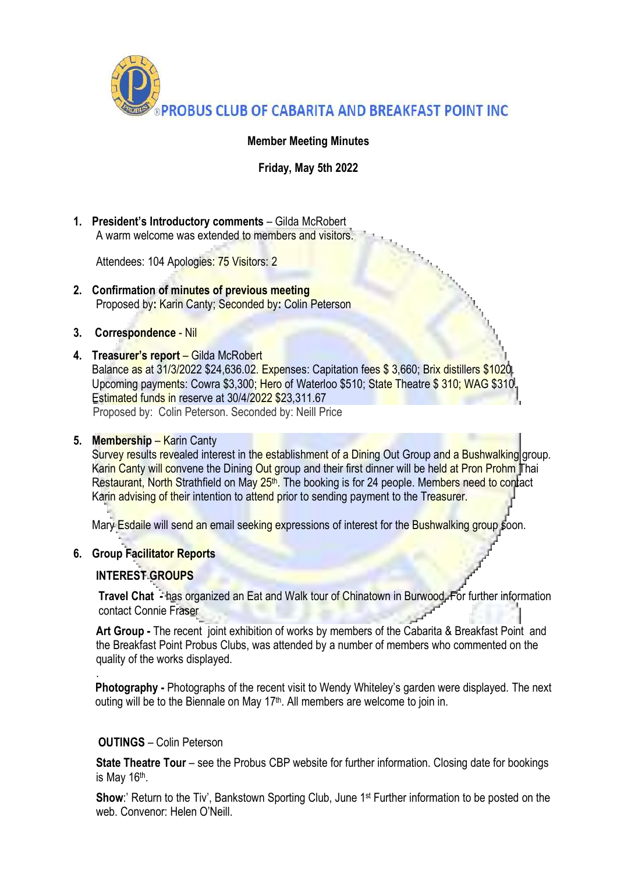

# **Member Meeting Minutes**

**Friday, May 5th 2022**

**1. President's Introductory comments** – Gilda McRobert A warm welcome was extended to members and visitors.

Attendees: 104 Apologies: 75 Visitors: 2

- **2. Confirmation of minutes of previous meeting** Proposed by**:** Karin Canty; Seconded by**:** Colin Peterson
- **3. Correspondence** Nil
- **4. Treasurer's report** Gilda McRobert Balance as at 31/3/2022 \$24,636.02. Expenses: Capitation fees \$3,660; Brix distillers \$1020. Upcoming payments: Cowra \$3,300; Hero of Waterloo \$510; State Theatre \$ 310; WAG \$310. Estimated funds in reserve at 30/4/2022 \$23,311.67 Proposed by: Colin Peterson. Seconded by: Neill Price

## **5. Membership** – Karin Canty

Survey results revealed interest in the establishment of a Dining Out Group and a Bushwalking group. Karin Canty will convene the Dining Out group and their first dinner will be held at Pron Prohm Thai Restaurant, North Strathfield on May 25<sup>th</sup>. The booking is for 24 people. Members need to contact Karin advising of their intention to attend prior to sending payment to the Treasurer.

Mary Esdaile will send an email seeking expressions of interest for the Bushwalking group soon.

# **6. Group Facilitator Reports**

### **INTEREST GROUPS**

.

**Travel Chat -** has organized an Eat and Walk tour of Chinatown in Burwood. For further information contact Connie Fraser

**Art Group -** The recent joint exhibition of works by members of the Cabarita & Breakfast Point and the Breakfast Point Probus Clubs, was attended by a number of members who commented on the quality of the works displayed.

**Photography -** Photographs of the recent visit to Wendy Whiteley's garden were displayed. The next outing will be to the Biennale on May 17<sup>th</sup>. All members are welcome to join in.

# **OUTINGS** – Colin Peterson

**State Theatre Tour** – see the Probus CBP website for further information. Closing date for bookings is May 16<sup>th</sup>.

**Show**:' Return to the Tiv', Bankstown Sporting Club, June 1<sup>st</sup> Further information to be posted on the web. Convenor: Helen O'Neill.